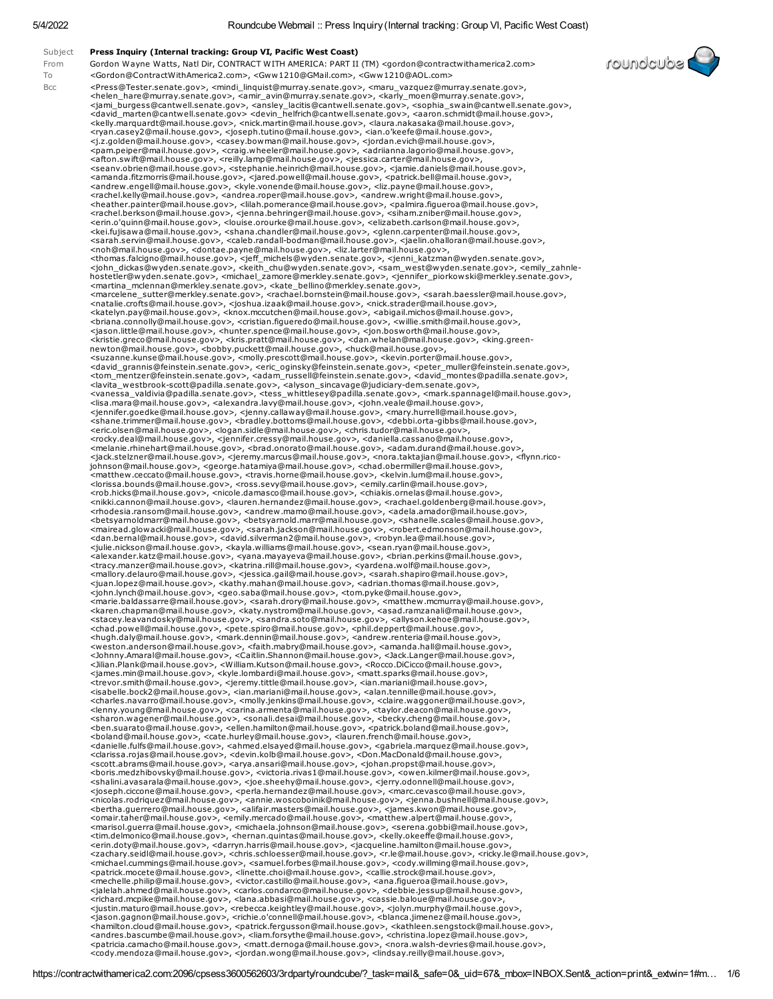Subject Press Inquiry (Internal tracking: Group VI, Pacific West Coast) From Gordon Wayne Watts, Natl Dir, CONTRACT WITH AMERICA: PART II (TM) <gordon@contractwithamerica2.com> To <Gordon@ContractWithAmerica2.com>, <Gww1210@GMail.com>, <Gww1210@AOL.com> Bcc <Press@Tester.senate.gov>, <mindi\_linquist@murray.senate.gov>, <maru\_vazquez@murray.senate.gov>, <helen\_hare@murray.senate.gov>, <amir\_avin@murray.senate.gov>, <karly\_moen@murray.senate.gov>,<br><jami\_burgess@cantwell.senate.gov>, <ansley\_lacitis@cantwell.senate.gov>, <sophia\_swain@cantwell.senate.gov>,<br><david\_marten@can <ryan.casey2@mail.house.gov>, <joseph.tutino@mail.house.gov>, <ian.o'keefe@mail.house.gov>,<br><j.z.golden@mail.house.gov>, <casey.bowman@mail.house.gov>, <jordan.evich@mail.house.gov>,<br><pam.peiper@mail.house.gov>, <craig.whe <afton.swift@mail.house.gov>, <reilly.lamp@mail.house.gov>, <jessica.carter@mail.house.gov>, <seanv.obrien@mail.house.gov>, <stephanie.heinrich@mail.house.gov>, <jamie.daniels@mail.house.gov>,<br><amanda.fitzmorris@mail.house.gov>, <jared.powell@mail.house.gov>, <patrick.bell@mail.house.gov>,<br><amdrew.engell@mail.hous <rachel.kelly@mail.house.gov>, <andrea.roper@mail.house.gov>, <andrew.wright@mail.house.gov>, <achel.berkson@mail.house.gov>, <ighna.behringer@mail.house.gov>, <splann.zinler@mail.house.gov>, <achel.berkson@mail.house.gov> <jason.little@mail.house.gov>, <hunter.spence@mail.house.gov>, <jon.bosworth@mail.house.gov>,<br><krsite.greco@mail.house.gov>, <kkrs.pratt@mail.house.gov>, <dan.whelan@mail.house.gov>, <kkrs.pratt@mail.house.gov>, <chore.gre <lavita\_westbrook-scott@padilla.senate.gov>, <alyson\_sincavage@judiciary-dem.senate.gov>,<br><vanessa\_valdivia@padilla.senate.gov>, <tess\_whittlesey@padilla.senate.gov>, <mark.spannagel@mail.house.gov>,<br><lisa.mara@mail.house. <jennifer.goedke@mail.house.gov>, <jenny.callaway@mail.house.gov>, <mary.hurrell@mail.house.gov>,<br><shane.trimmer@mail.house.gov>, <br/><br/>andley.bottoms@mail.house.gov>, <<br/>shane.trimmer@mail.house.gov>, <enc.ols="hou <melanie.rhinehart@mail.house.gov>, <brad.onorato@mail.house.gov>, <adam.durand@mail.house.gov>,<br><jack.stelzner@mail.house.gov>, <jeremy.marcus@mail.house.gov>, <nora.taktajian@mail.house.gov>, <flynn.rico-<br>johnson@mail.ho <matthew.ceccato@mail.house.gov>, <travis.horne@mail.house.gov>, <kelvin.lum@mail.house.gov>,<br><lorissa.bounds@mail.house.gov>, <ross.sevy@mail.house.gov>, <emily.carlin@mail.house.gov>,<br><rob.hicks@mail.house.gov>, <nicole. <nikki.cannon@mail.house.gov>, <lauren.hernandez@mail.house.gov>, <rachael.goldenberg@mail.house.gov>, <rhodesia.ransom@mail.house.gov>, <andrew.mamo@mail.house.gov>, <adela.amador@mail.house.gov>,<br><bletsyarnoldmarr@mail.house.gov>, <betsyarnold.marr@mail.house.gov>, <shanelle.scales@mail.house.gov>,<br><mairead.glowacki@mail. <dan.bernal@mail.house.gov>, <david.silverman2@mail.house.gov>, <robyn.lea@mail.house.gov>,<br><julie.nickson@mail.house.gov>, <kayla.williams@mail.house.gov>, <sean.ryan@mail.house.gov>,<br><alexander.katz@mail.house.gov>, <yan <tracy.manzer@mail.house.gov>, <katrina.rill@mail.house.gov>, <yardena.wolf@mail.house.gov>, <mallory.delauro@mail.house.gov>, <jessica.gail@mail.house.gov>, <sarah.shapiro@mail.house.gov>,<br><juan.lopez@mail.house.gov>, <kathy.mahan@mail.house.gov>, <adrian.thomas@mail.house.gov>,<br><john.lynch@mail.house.gov>, <seo. <marie.baldassarre@mail.house.gov>, <sarah.drory@mail.house.gov>, <matthew.mcmurray@mail.house.gov>, <karen.chapman@mail.house.gov>, <katy.nystrom@mail.house.gov>, <asad.ramzanali@mail.house.gov>, <stacey.leavandosky@mail.house.gov>, <sandra.soto@mail.house.gov>, <allyson.kehoe@mail.house.gov>, <chad.powell@mail.house.gov>, <pete.spiro@mail.house.gov>, <phil.deppert@mail.house.gov>,<br><hugh.daly@mail.house.gov>, <mark.dennin@mail.house.gov>, <andrew.renteria@mail.house.gov>,<br><weston.anderson@mail.house.gov>, <faith <Jilian.Plank@mail.house.gov>, <William.Kutson@mail.house.gov>, <Rocco.DiCicco@mail.house.gov>,<br><james.min@mail.house.gov>, <kyle.lombardi@mail.house.gov>, <matt.sparks@mail.house.gov>,<br><trevor.smith@mail.house.gov>, <jere <charles.navarro@mail.house.gov>, <molly.jenkins@mail.house.gov>, <claire.waggoner@mail.house.gov>, <lenny.young@mail.house.gov>, <carina.armenta@mail.house.gov>, <taylor.deacon@mail.house.gov>, <sharon.wagener@mail.house.gov>, <sonali.desai@mail.house.gov>, <becky.cheng@mail.house.gov>,<br><ben.suarato@mail.house.gov>, <ellen.hamilton@mail.house.gov>, <patrick.boland@mail.house.gov>,<br><boland@mail.house.gov>, <cate.h <danielle.fulfs@mail.house.gov>, <ahmed.elsayed@mail.house.gov>, <gabriela.marquez@mail.house.gov>, <<br><clarissa.rojas@mail.house.gov>, <<abr/>paral.house.gov>, </brown.kologhamil.house.gov>, </absolventable mail.house.gov> <omair.taher@mail.house.gov>, <emily.mercado@mail.house.gov>, <matthew.alpert@mail.house.gov>,<br><marisol.guerra@mail.house.gov>, <michaela.johnson@mail.house.gov>, <serena.gobbi@mail.house.gov>,<br><tim.delmonico@mail.house.go <zachary.seidl@mail.house.gov>, <chris.schloesser@mail.house.gov>, <r.le@mail.house.gov>, <ricky.le@mail.house.gov>,<br><partick.momethg@mail.house.gov>, <samuel.forbes@mail.house.gov>, <cody.willming@mail.house.gov>,<br><partic <cody.mendoza@mail.house.gov>, <jordan.wong@mail.house.gov>, <lindsay.reilly@mail.house.gov>,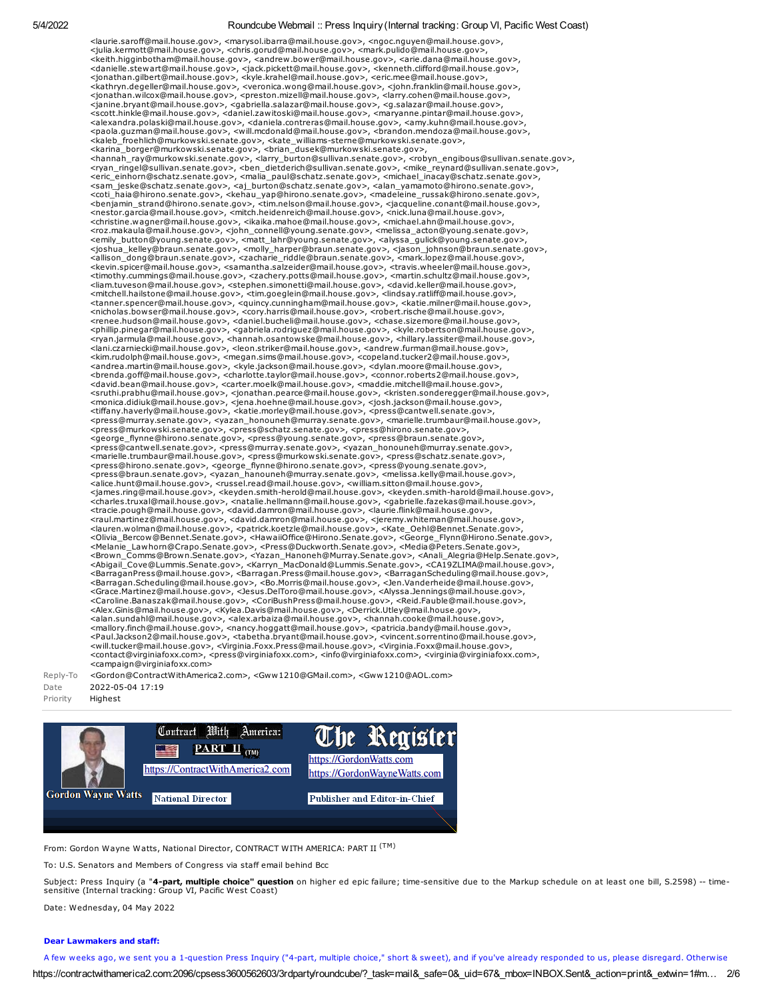<laurie.saroff@mail.house.gov>, <marysol.ibarra@mail.house.gov>, <ngoc.nguyen@mail.house.gov>, <julia.kermott@mail.house.gov>, <chris.gorud@mail.house.gov>, <mark.pulido@mail.house.gov>, <keith.higginbotham@mail.house.gov>, <andrew.bower@mail.house.gov>, <arie.dana@mail.house.gov>, <danielle.stewart@mail.house.gov>, <jack.pickett@mail.house.gov>, <kenneth.clifford@mail.house.gov>,<br><jonathan.gilbert@mail.house.gov>, <kyle.krahel@mail.house.gov>, <eric.mee@mail.house.gov>,<br><kathryn.degeller@mail.house. <jonathan.wilcox@mail.house.gov>, <preston.mizell@mail.house.gov>, <larry.cohen@mail.house.gov>, <janine.bryant@mail.house.gov>, <gabriella.salazar@mail.house.gov>, <g.salazar@mail.house.gov>,<br><scott.hinkle@mail.house.gov>, <daniel.zawitoski@mail.house.gov>, <maryanne.pintar@mail.house.gov>, <alexandra.polaski@mail.house.gov>, <daniela.contreras@mail.house.gov>, <amy.kuhn@mail.house.gov>,<br><paola.guzman@mail.house.gov>, <will.mcdonald@mail.house.gov>, <brandon.mendoza@mail.house.gov>,<br><kaleb\_froehlich@murkowski <hannah\_ray@murkowski.senate.gov>, <larry\_burton@sullivan.senate.gov>, <robyn\_engibous@sullivan.senate.gov>, <rors,arn\_ringel@sullivan.senate.gov>, <enixate.gov>, <enixate.gov>, <enixate.gov>, <enixate.gov>, <enixate.gov>, <nestor.garcia@mail.house.gov>, <mitch.heidenreich@mail.house.gov>, <nick.luna@mail.house.gov>, <rnstitute.wagner@mail.house.gov>, <sinka.mahoe@mail.house.gov>, <michael.ahn@mail.house.gov>, <mix/><br><rnstitute.wagner@mail.h <nicholas.bowser@mail.house.gov>, <cory.harris@mail.house.gov>, <robert.rische@mail.house.gov>,<br><renee.hudson@mail.house.gov>, <daniel.bucheli@mail.house.gov>, <chase.sizemore@mail.house.gov>,<br><phillip.pinegar@mail.house.g <lani.czarniecki@mail.house.gov>, <leon.striker@mail.house.gov>, <andrew.furman@mail.house.gov>, <kim.rudolph@mail.house.gov>, <megan.sims@mail.house.gov>, <copeland.tucker2@mail.house.gov>, <andrea.martin@mail.house.gov>, <sruthi.prabhu@mail.house.gov>, <jonathan.pearce@mail.house.gov>, <kristen.sonderegger@mail.house.gov>, <monica.didiuk@mail.house.gov>, <jena.hoehne@mail.house.gov>, <josh.jackson@mail.house.gov>, <tiffany.haverly@mail.hou <george\_flynne@hirono.senate.gov>, <press@young.senate.gov>, <press@braun.senate.gov>, <press@cantwell.senate.gov>, <press@murray.senate.gov>, <yazan\_honouneh@murray.senate.gov>,<br><marielle.trumbaur@mail.house.gov>, <press@murkowski.senate.gov>, <press@schatz.senate.gov>,<br><press@hirono.senate.gov>, <george\_fl <press@braun.senate.gov>, <yazan\_hanouneh@murray.senate.gov>, <melissa.kelly@mail.house.gov>,<br><alic.hout@mail.house.gov>, <rnssel.read@mail.house.gov>, <william.sitton@mail.house.gov>, <<br></alice.hunt@mail.house.gov>, <rnss <lauren.wolman@mail.house.gov>, <patrick.koetzle@mail.house.gov>, <Kate\_Oehl@Bennet.Senate.gov>, <Nelanie\_Lawhorn@Eennet.Senate.gov>, <HavailOffice@Hirono.Cenate.gov>, <<Henate.gov>, <Henate.gov>, <Henate.gov>, <Aeorge\_Fly <Caroline.Banaszak@mail.house.gov>, <CoriBushPress@mail.house.gov>, <Reid.Fauble@mail.house.gov>, <Alex.Ginis@mail.house.gov>, <<ractions <abless are constant in the search of almostration of almostration of almostration o <contact@virginiafoxx.com>, <press@virginiafoxx.com>, <info@virginiafoxx.com>, <virginia@virginiafoxx.com>, <campaign@virginiafoxx.com>

#### Reply-To <Gordon@ContractWithAmerica2.com>, <Gww1210@GMail.com>, <Gww1210@AOL.com> Date 2022-05-04 17:19

Priority Highest



From: Gordon Wayne Watts, National Director, CONTRACT WITH AMERICA: PART II <sup>(TM)</sup>

To: U.S. Senators and Members of Congress via staff email behind Bcc

Subject: Press Inquiry (a "4-part, multiple choice" question on higher ed epic failure; time-sensitive due to the Markup schedule on at least one bill, S.2598) -- timesensitive (Internal tracking: Group VI, Pacific West Coast)

Date: Wednesday, 04 May 2022

### Dear Lawmakers and staff:

https://contractwithamerica2.com:2096/cpsess3600562603/3rdparty/roundcube/?\_task=mail&\_safe=0&\_uid=67&\_mbox=INBOX.Sent&\_action=print&\_extwin=1#m… 2/6 A few weeks ago, we sent you a 1-question Press Inquiry ("4-part, multiple choice," short & sweet), and if you've already responded to us, please disregard. Otherwise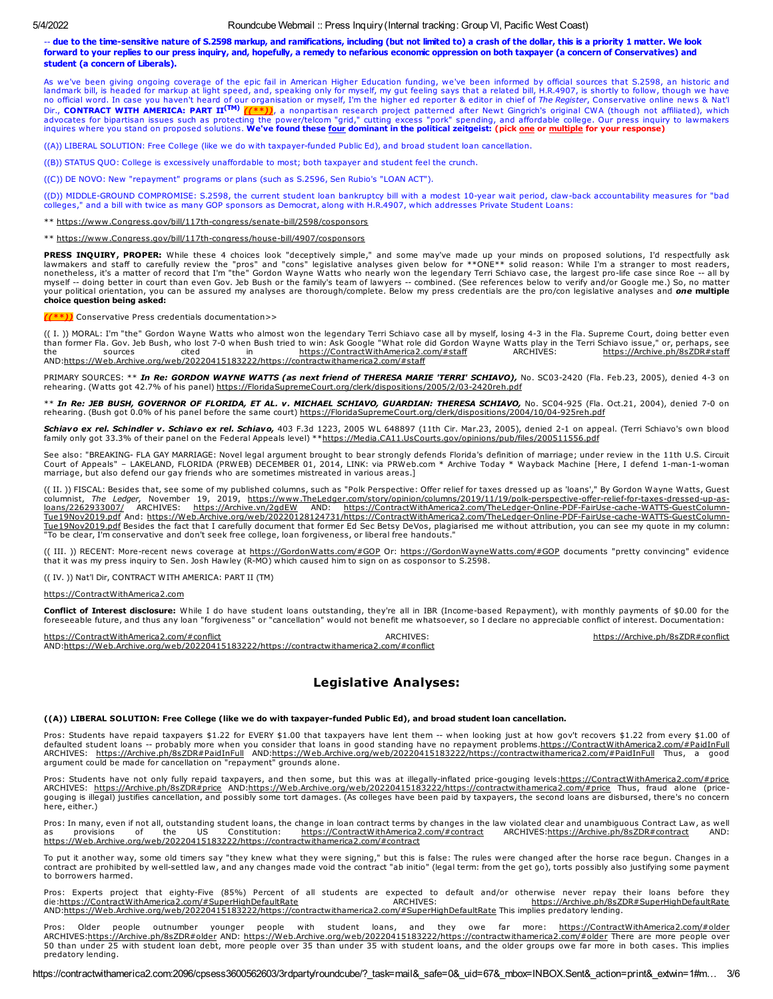-- due to the time-sensitive nature of S.2598 markup, and ramifications, including (but not limited to) a crash of the dollar, this is a priority 1 matter. We look forward to your replies to our press inquiry, and, hopefully, a remedy to nefarious economic oppression on both taxpayer (a concern of Conservatives) and student (a concern of Liberals).

As we've been giving ongoing coverage of the epic fail in American Higher Education funding, we've been informed by official sources that S.2598, an historic and<br>Iandmark bill, is headed for markup at light speed and, spea Dir., CONTRACT WITH AMERICA: PART II<sup>(TM)</sup> [(\*\*)), a nonpartisan research project patterned after Newt Gingrich's original CWA (though not affiliated), which<br>advocates for bipartisan issues such as protecting the power/tel

((A)) LIBERAL SOLUTION: Free College (like we do with taxpayer-funded Public Ed), and broad student loan cancellation.

((B)) STATUS QUO: College is excessively unaffordable to most; both taxpayer and student feel the crunch.

((C)) DE NOVO: New "repayment" programs or plans (such as S.2596, Sen Rubio's "LOAN ACT").

((D)) MIDDLE-GROUND COMPROMISE: S.2598, the current student loan bankruptcy bill with a modest 10-year wait period, claw-back accountability measures for "bad colleges," and a bill with twice as many GOP sponsors as Democrat, along with H.R.4907, which addresses Private Student Loans:

\*\* [https://www.Congress.gov/bill/117th-congress/senate-bill/2598/cosponsors](https://www.congress.gov/bill/117th-congress/senate-bill/2598/cosponsors)

\*\* [https://www.Congress.gov/bill/117th-congress/house-bill/4907/cosponsors](https://www.congress.gov/bill/117th-congress/house-bill/4907/cosponsors)

**PRESS INQUIRY, PROPER:** While these 4 choices look "deceptively simple," and some may've made up your minds on proposed solutions, I'd respectfully ask<br>lawmakers and staff to carefully review the "pros" and "cons" legisla nonetheless, it's a matter of record that I'm "the" Gordon Wayne Watts who nearly won the legendary Terri Schiavo case, the largest pro-life case since Roe -- all by myself -- doing better in court than even Gov. Jeb Bush or the family's team of lawyers -- combined. (See references below to verify and/or Google me.) So, no matter your political orientation, you can be assured my analyses are thorough/complete. Below my press credentials are the pro/con legislative analyses and one multiple choice question being asked:

**\*\*))** Conservative Press credentials documentation>>

(( I. )) MORAL: I'm "the" Gordon Wayne Watts who almost won the legendary Terri Schiavo case all by myself, losing 4-3 in the Fla. Supreme Court, doing better even than former Fla. Gov. Jeb Bush, who lost 7-0 when Bush tried to win: Ask Google "What role did Gordon Wayne Watts play in the Terri Schiavo issue," or, perhaps, see<br>the sources cited in https://ContractWithAmerica2.com/#st the sources cited in [https://ContractWithAmerica2.com/#staff](https://contractwithamerica2.com/#staff) AND[:https://Web.Archive.org/web/20220415183222/https://contractwithamerica2.com/#staff](https://web.archive.org/web/20220415183222/https://contractwithamerica2.com/#staff)

PRIMARY SOURCES: \*\* In Re: GORDON WAYNE WATTS (as next friend of THERESA MARIE 'TERRI' SCHIAVO), No. SC03-2420 (Fla. Feb.23, 2005), denied 4-3 on rehearing. (Watts got 42.7% of his panel) [https://FloridaSupremeCourt.org/clerk/dispositions/2005/2/03-2420reh.pdf](https://floridasupremecourt.org/clerk/dispositions/2005/2/03-2420reh.pdf)

\*\* In Re: JEB BUSH, GOVERNOR OF FLORIDA, ET AL. v. MICHAEL SCHIAVO, GUARDIAN: THERESA SCHIAVO, No. SC04-925 (Fla. Oct.21, 2004), denied 7-0 on rehearing. (Bush got 0.0% of his panel before the same court) [https://FloridaSupremeCourt.org/clerk/dispositions/2004/10/04-925reh.pdf](https://floridasupremecourt.org/clerk/dispositions/2004/10/04-925reh.pdf)

**Schiavo ex rel. Schindler v. Schiavo ex rel. Schiavo,** 403 F.3d 1223, 2005 WL 648897 (11th Cir. Mar.23, 2005), denied 2-1 on appeal. (Terri Schiavo's own blood<br>family only got 33.3% of their panel on the Federal Appeals l

See also: "BREAKING- FLA GAY MARRIAGE: Novel legal argument brought to bear strongly defends Florida's definition of marriage; under review in the 11th U.S. Circuit<br>Court of Appeals" – LAKELAND, FLORIDA (PRWEB) DECEMBER 01 marriage, but also defend our gay friends who are sometimes mistreated in various areas.]

(( II. )) FISCAL: Besides that, see some of my published columns, such as "Polk Perspective: Offer relief for taxes dressed up as 'loans'," By Gordon Wayne Watts, Guest columnist, *The Ledger,* November 19, 2019, <u>https://www.TheLedger.com/story/opinion/columns/2019/11/19/polk-perspective-offer-relief-for-taxes-dressed-up-as-<br><u>loans/2262933007/</u> ARCHIVES: <u>https://Archive.vn/2qdEW</u> AND: <u></u></u> <u>Tue19Nov2019.pdf</u> Besides the fact that I carefully document that former Ed Sec Betsy DeVos, plagiarised me without attribution, you can see my quote in my column:<br>"To be clear, I'm conservative and don't seek free colleg

(( III. )) RECENT: More-recent news coverage at [https://GordonWatts.com/#GOP](https://gordonwatts.com/#GOP) Or: [https://GordonWayneWatts.com/#GOP](https://gordonwaynewatts.com/#GOP) documents "pretty convincing" evidence that it was my press inquiry to Sen. Josh Hawley (R-MO) which caused him to sign on as cosponsor to S.2598.

(( IV. )) Nat'l Dir, CONTRACT WITH AMERICA: PART II (TM)

[https://ContractWithAmerica2.com](https://contractwithamerica2.com/)

**Conflict of Interest disclosure:** While I do have student loans outstanding, they're all in IBR (Income-based Repayment), with monthly payments of \$0.00 for the<br>foreseeable future, and thus any loan "forgiveness" or "canc

[https://ContractWithAmerica2.com/#conflict](https://contractwithamerica2.com/#conflict)  $ARCHIVES:$  ARCHIVES: [https://Archive.ph/8sZDR#conflict](https://archive.ph/8sZDR#conflict) AND[:https://Web.Archive.org/web/20220415183222/https://contractwithamerica2.com/#conflict](https://web.archive.org/web/20220415183222/https://contractwithamerica2.com/#conflict)

# Legislative Analyses:

### ((A)) LIBERAL SOLUTION: Free College (like we do with taxpayer-funded Public Ed), and broad student loan cancellation.

Pros: Students have repaid taxpayers \$1.22 for EVERY \$1.00 that taxpayers have lent them -- when looking just at how gov't recovers \$1.22 from every \$1.00 of defaulted student loans -- probably more when you consider that loans in good standing have no repayment problems[.https://ContractWithAmerica2.com/#PaidInFull](https://contractwithamerica2.com/#PaidInFull) ARCHIVES: [https://Archive.ph/8sZDR#PaidInFull](https://archive.ph/8sZDR#PaidInFull) AND:[https://Web.Archive.org/web/20220415183222/https://contractwithamerica2.com/#PaidInFull](https://web.archive.org/web/20220415183222/https://contractwithamerica2.com/#PaidInFull) Thus, a good<br>argument could be made for cancellation on "repayment" grounds alone.

Pros: Students have not only fully repaid taxpayers, and then some, but this was at illegally-inflated price-gouging levels[:https://ContractWithAmerica2.com/#price](https://contractwithamerica2.com/#price) ARCHIVES: [https://Archive.ph/8sZDR#price](https://archive.ph/8sZDR#price) AND:[https://Web.Archive.org/web/20220415183222/https://contractwithamerica2.com/#price](https://web.archive.org/web/20220415183222/https://contractwithamerica2.com/#price) Thus, fraud alone (pricegouging is illegal) justifies cancellation, and possibly some tort damages. (As colleges have been paid by taxpayers, the second loans are disbursed, there's no concern here, either.)

Pros: In many, even if not all, outstanding student loans, the change in loan contract terms by changes in the law violated clear and unambiguous Contract Law, as well<br>as provisions of the US Constitution: https://Contract provisions of the US Constitution: [https://ContractWithAmerica2.com/#contract](https://contractwithamerica2.com/#contract) ARCHIVES[:https://Archive.ph/8sZDR#contract](https://archive.ph/8sZDR#contract) [https://Web.Archive.org/web/20220415183222/https://contractwithamerica2.com/#contract](https://web.archive.org/web/20220415183222/https://contractwithamerica2.com/#contract)

To put it another way, some old timers say "they knew what they were signing," but this is false: The rules were changed after the horse race begun. Changes in a<br>contract are prohibited by well-settled law, and any changes to borrowers harmed.

Pros: Experts project that eighty-Five (85%) Percent of all students are expected to default and/or otherwise never repay their loans before they<br>die:<u>https://ContractWithAmerica2.com/#SuperHighDefaultRate</u> AND[:https://Web.Archive.org/web/20220415183222/https://contractwithamerica2.com/#SuperHighDefaultRate](https://web.archive.org/web/20220415183222/https://contractwithamerica2.com/#SuperHighDefaultRate) This implies predatory lending.

Pros: Older people outnumber younger people with student loans, and they owe far more: [https://ContractWithAmerica2.com/#older](https://contractwithamerica2.com/#older) ARCHIVES[:https://Archive.ph/8sZDR#older](https://archive.ph/8sZDR#older) AND: [https://Web.Archive.org/web/20220415183222/https://contractwithamerica2.com/#older](https://web.archive.org/web/20220415183222/https://contractwithamerica2.com/#older) There are more people over 50 than under 25 with student loan debt, more people over 35 than under 35 with student loans, and the older groups owe far more in both cases. This implies predatory lending.

https://contractwithamerica2.com:2096/cpsess3600562603/3rdparty/roundcube/?\_task=mail&\_safe=0&\_uid=67&\_mbox=INBOX.Sent&\_action=print&\_extwin=1#m... 3/6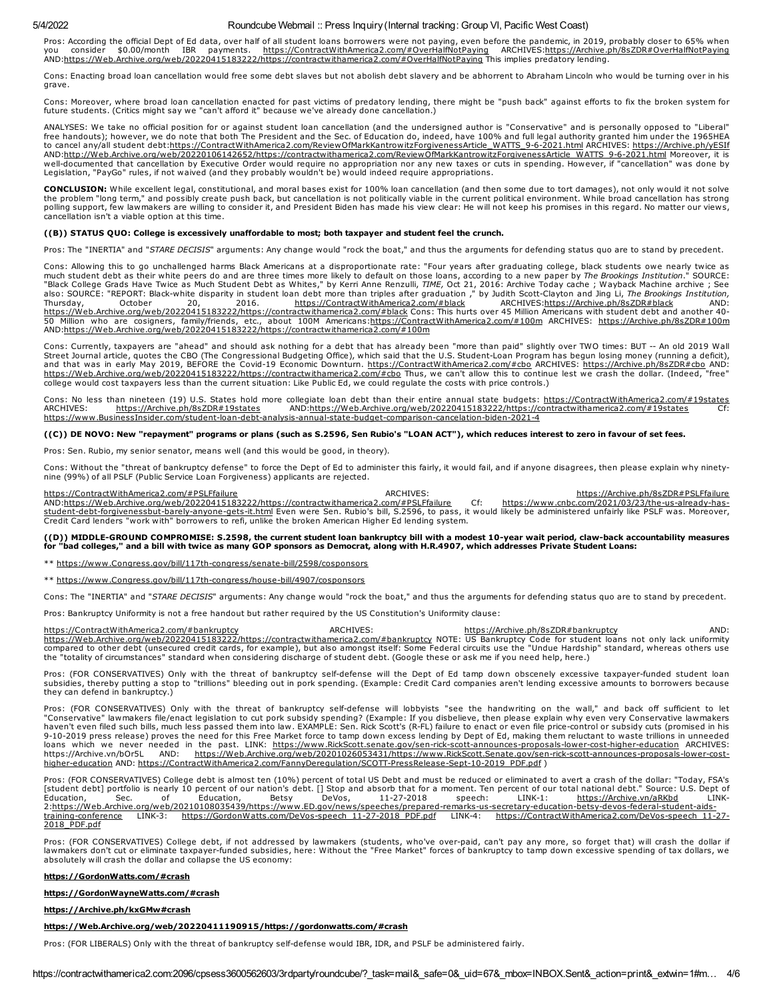Pros: According the official Dept of Ed data, over half of all student loans borrowers were not paying, even before the pandemic, in 2019, probably closer to 65% when<br>you consider \$0.00/month IBR payments. <u>https://Contrac</u> AND[:https://Web.Archive.org/web/20220415183222/https://contractwithamerica2.com/#OverHalfNotPaying](https://web.archive.org/web/20220415183222/https://contractwithamerica2.com/#OverHalfNotPaying) This implies predatory lending.

Cons: Enacting broad loan cancellation would free some debt slaves but not abolish debt slavery and be abhorrent to Abraham Lincoln who would be turning over in his grave.

Cons: Moreover, where broad loan cancellation enacted for past victims of predatory lending, there might be "push back" against efforts to fix the broken system for<br>future students. (Critics might say we "can't afford it"

ANALYSES: We take no official position for or against student loan cancellation (and the undersigned author is "Conservative" and is personally opposed to "Liberal"<br>free handouts); however, we do note that both The Preside to cancel any/all student debt[:https://ContractWithAmerica2.com/ReviewOfMarkKantrowitzForgivenessArticle\\_WATTS\\_9-6-2021.html](https://contractwithamerica2.com/ReviewOfMarkKantrowitzForgivenessArticle_WATTS_9-6-2021.html) ARCHIVES: [https://Archive.ph/yESIf](https://archive.ph/yESIf) AND:<u>http://Web.Archive.org/web/20220106142652/https://contractwithamerica2.com/ReviewOfMarkKantrowitzForgivenessArticle WATTS 9-6-2021.html</u> Moreover, it is<br>well-documented that cancellation by Executive Order would requi Legislation, "PayGo" rules, if not waived (and they probably wouldn't be) would indeed require appropriations.

CONCLUSION: While excellent legal, constitutional, and moral bases exist for 100% loan cancellation (and then some due to tort damages), not only would it not solve the problem "long term," and possibly create push back, but cancellation is not politically viable in the current political environment. While broad cancellation has strong<br>polling support, few lawmakers are willing to con cancellation isn't a viable option at this time.

### ((B)) STATUS QUO: College is excessively unaffordable to most; both taxpayer and student feel the crunch.

Pros: The "INERTIA" and "STARE DECISIS" arguments: Any change would "rock the boat," and thus the arguments for defending status quo are to stand by precedent.

Cons: Allowing this to go unchallenged harms Black Americans at a disproportionate rate: "Four years after graduating college, black students owe nearly twice as much student debt as their white peers do and are three times more likely to default on those loans, according to a new paper by *The Brookings Institution*." SOURCE:<br>"Black College Grads Have Twice as Much Student Debt as <u>[https://Web.Archive.org/web/20220415183222/https://contractwithamerica2.com/#black](https://web.archive.org/web/20220415183222/https://contractwithamerica2.com/#black)</u>Cons: This hurts over 45 Million Americans with student debt and another 40-<br>50 Million who are cosigners, family/friends, etc., about 100

Cons: Currently, taxpayers are "ahead" and should ask nothing for a debt that has already been "more than paid" slightly over TWO times: BUT -- An old 2019 Wall<br>Street Journal article, quotes the CBO (The Congressional Bud and that was in early May 2019, BEFORE the Covid-19 Economic Downturn. <u>[https://ContractWithAmerica2.com/#cbo](https://contractwithamerica2.com/#cbo)</u> ARCHIVES: <u>[https://Archive.ph/8sZDR#cbo](https://archive.ph/8sZDR#cbo)</u> AND:<br><u>https://Web.Archive.org/web/20220415183222/https://contractwitha</u>

Cons: No less than nineteen (19) U.S. States hold more collegiate loan debt than their entire annual state budgets: [https://ContractWithAmerica2.com/#19states](https://contractwithamerica2.com/#19states)<br>ARCHIVES: https://Archive.ph/8sZDR#19states AND:https://Web.Arc AND[:https://Web.Archive.org/web/20220415183222/https://contractwithamerica2.com/#19states](https://web.archive.org/web/20220415183222/https://contractwithamerica2.com/#19states) Cf: [https://www.BusinessInsider.com/student-loan-debt-analysis-annual-state-budget-comparison-cancelation-biden-2021-4](https://www.businessinsider.com/student-loan-debt-analysis-annual-state-budget-comparison-cancelation-biden-2021-4)

### ((C)) DE NOVO: New "repayment" programs or plans (such as S.2596, Sen Rubio's "LOAN ACT"), which reduces interest to zero in favour of set fees.

Pros: Sen. Rubio, my senior senator, means well (and this would be good, in theory).

Cons: Without the "threat of bankruptcy defense" to force the Dept of Ed to administer this fairly, it would fail, and if anyone disagrees, then please explain why ninety-<br>nine (99%) of all PSLF (Public Service Loan Forgiv

[https://ContractWithAmerica2.com/#PSLFfailure](https://contractwithamerica2.com/#PSLFfailure) ARCHIVES: ARCHIVES: [https://Archive.ph/8sZDR#PSLFfailure](https://archive.ph/8sZDR#PSLFfailure) https://web.Archive.org/web/20220415183222/https://contractwithamerica2.com/#PSLFfailure Cf: https://www.cnbc.com/2021/ [AND:](https://www.cnbc.com/2021/03/23/the-us-already-has-student-debt-forgivenessbut-barely-anyone-gets-it.html)[https://Web.Archive.org/web/20220415183222/https://contractwithamerica2.com/#PSLFfailure](https://web.archive.org/web/20220415183222/https://contractwithamerica2.com/#PSLFfailure) <u>student-debt-forgivenessbut-barely-anyone-gets-it.html</u> Even were Sen. Rubio's bill, S.2596, to pass, it would likely be administered unfairly like PSLF was. Moreover,<br>Credit Card lenders "work with" borrowers to refi, un

### ((D)) MIDDLE-GROUND COMPROMISE: S.2598, the current student loan bankruptcy bill with a modest 10-year wait period, claw-back accountability measures for "bad colleges," and a bill with twice as many GOP sponsors as Democrat, along with H.R.4907, which addresses Private Student Loans:

\*\* [https://www.Congress.gov/bill/117th-congress/senate-bill/2598/cosponsors](https://www.congress.gov/bill/117th-congress/senate-bill/2598/cosponsors)

\*\* [https://www.Congress.gov/bill/117th-congress/house-bill/4907/cosponsors](https://www.congress.gov/bill/117th-congress/house-bill/4907/cosponsors)

Cons: The "INERTIA" and "STARE DECISIS" arguments: Any change would "rock the boat," and thus the arguments for defending status quo are to stand by precedent.

Pros: Bankruptcy Uniformity is not a free handout but rather required by the US Constitution's Uniformity clause:

[https://ContractWithAmerica2.com/#bankruptcy](https://contractwithamerica2.com/#bankruptcy)<br>[https://Web.Archive.org/web/20220415183222/https://contractwithamerica2.com/#bankruptcy](https://web.archive.org/web/20220415183222/https://contractwithamerica2.com/#bankruptcy) NOTE: US Bankruptcy Code for student loans not only lack uniformity<br>https://Web.Archive.o the "totality of circumstances" standard when considering discharge of student debt. (Google these or ask me if you need help, here.)

Pros: (FOR CONSERVATIVES) Only with the threat of bankruptcy self-defense will the Dept of Ed tamp down obscenely excessive taxpayer-funded student loan<br>subsidies, thereby putting a stop to "trillions" bleeding out in pork they can defend in bankruptcy.)

Pros: (FOR CONSERVATIVES) Only with the threat of bankruptcy self-defense will lobbyists "see the handwriting on the wall," and back off sufficient to let "Conservative" lawmakers file/enact legislation to cut pork subsidy spending? (Example: If you disbelieve, then please explain why even very Conservative lawmakers<br>haven't even filed such bills, much less passed them into 9-10-2019 press release) proves the need for this Free Market force to tamp down excess lending by Dept of Ed, making them reluctant to waste trillions in unneeded loans which we never needed in the past. LINK: [https://www.RickScott.senate.gov/sen-rick-scott-announces-proposals-lower-cost-higher-education](https://www.rickscott.senate.gov/sen-rick-scott-announces-proposals-lower-cost-higher-education) ARCHIVES: https://Archive.vn/bOr5L AND: [https://Web.Archive.org/web/20201026053431/https://www.RickScott.Senate.gov/sen-rick-scott-announces-proposals-lower-cost](https://web.archive.org/web/20201026053431/https://www.RickScott.Senate.gov/sen-rick-scott-announces-proposals-lower-cost-higher-education)higher-education AND: [https://ContractWithAmerica2.com/FannyDeregulation/SCOTT-PressRelease-Sept-10-2019\\_PDF.pdf](https://contractwithamerica2.com/FannyDeregulation/SCOTT-PressRelease-Sept-10-2019_PDF.pdf) )

Pros: (FOR CONSERVATIVES) College debt is almost ten (10%) percent of total US Debt and must be reduced or eliminated to avert a crash of the dollar: "Today, FSA's [student debt] portfolio is nearly 10 percent of our nation's debt. [] Stop and absorb that for a moment. Ten percent of our total national debt." Source: U.S. Dept of<br>Education, Sec. of Education, المستقل المستقل المستقل المستقل المستقل المستقل المستقل المستقل المستقل المستقل المستقل المستقل المستقل المستق<br>2:<u>https://Web.Archive.org/web/20210108035439/https://www.ED.gov/news/speeches/prepared-remarks-us-secretary-e</u> training-conference LINK-3: [https://GordonWatts.com/DeVos-speech\\_11-27-2018\\_PDF.pdf](https://contractwithamerica2.com/DeVos-speech_11-27-2018_PDF.pdf) 2018\_PDF.pdf

Pros: (FOR CONSERVATIVES) College debt, if not addressed by lawmakers (students, who've over-paid, can't pay any more, so forget that) will crash the dollar if<br>Iawmakers don't cut or eliminate taxpayer-funded subsidies, he absolutely will crash the dollar and collapse the US economy:

#### [https://GordonWatts.com/#crash](https://gordonwatts.com/#crash)

#### [https://GordonWayneWatts.com/#crash](https://gordonwaynewatts.com/#crash)

### [https://Archive.ph/kxGMw#crash](https://archive.ph/kxGMw#crash)

#### [https://Web.Archive.org/web/20220411190915/https://gordonwatts.com/#crash](https://web.archive.org/web/20220411190915/https://gordonwatts.com/#crash)

Pros: (FOR LIBERALS) Only with the threat of bankruptcy self-defense would IBR, IDR, and PSLF be administered fairly.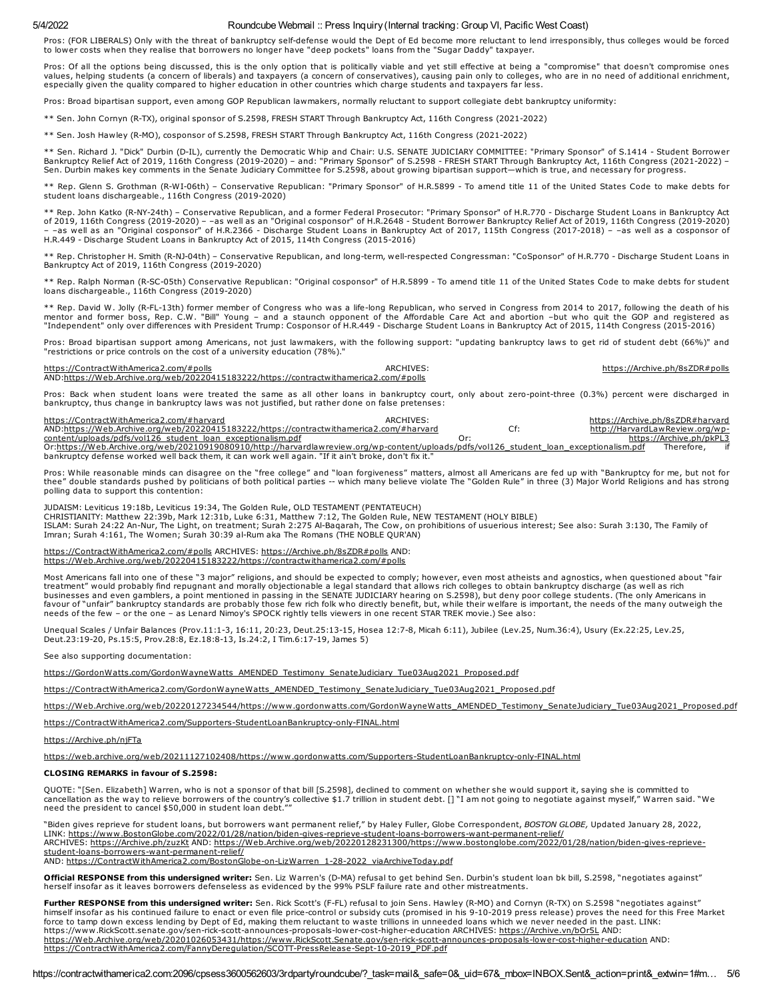Pros: (FOR LIBERALS) Only with the threat of bankruptcy self-defense would the Dept of Ed become more reluctant to lend irresponsibly, thus colleges would be forced to lower costs when they realise that borrowers no longer have "deep pockets" loans from the "Sugar Daddy" taxpayer.

Pros: Of all the options being discussed, this is the only option that is politically viable and yet still effective at being a "compromise" that doesn't compromise ones values, helping students (a concern of liberals) and taxpayers (a concern of conservatives), causing pain only to colleges, who are in no need of additional enrichment, especially given the quality compared to higher education in other countries which charge students and taxpayers far less.

Pros: Broad bipartisan support, even among GOP Republican lawmakers, normally reluctant to support collegiate debt bankruptcy uniformity:

\*\* Sen. John Cornyn (R-TX), original sponsor of S.2598, FRESH START Through Bankruptcy Act, 116th Congress (2021-2022)

\*\* Sen. Josh Hawley (R-MO), cosponsor of S.2598, FRESH START Through Bankruptcy Act, 116th Congress (2021-2022)

\*\* Sen. Richard J. "Dick" Durbin (D-IL), currently the Democratic Whip and Chair: U.S. SENATE JUDICIARY COMMITTEE: "Primary Sponsor" of S.1414 - Student Borrower<br>Bankruptcy Relief Act of 2019, 116th Congress (2019-2020) –

Rep. Glenn S. Grothman (R-WI-06th) – Conservative Republican: "Primary Sponsor" of H.R.5899 - To amend title 11 of the United States Code to make debts for student loans dischargeable., 116th Congress (2019-2020)

\*\* Rep. John Katko (R-NY-24th) – Conservative Republican, and a former Federal Prosecutor: "Primary Sponsor" of H.R.770 - Discharge Student Loans in Bankruptcy Act<br>of 2019, 116th Congress (2019-2020) – –as well as an "Orig

\*\* Rep. Christopher H. Smith (R-NJ-04th) – Conservative Republican, and long-term, well-respected Congressman: "CoSponsor" of H.R.770 - Discharge Student Loans in Bankruptcy Act of 2019, 116th Congress (2019-2020)

\*\* Rep. Ralph Norman (R-SC-05th) Conservative Republican: "Original cosponsor" of H.R.5899 - To amend title 11 of the United States Code to make debts for student loans dischargeable., 116th Congress (2019-2020)

\*\* Rep. David W. Jolly (R-FL-13th) former member of Congress who was a life-long Republican, who served in Congress from 2014 to 2017, following the death of his<br>mentor and former boss, Rep. C.W. "Bill" Young – and a staun "Independent" only over differences with President Trump: Cosponsor of H.R.449 - Discharge Student Loans in Bankruptcy Act of 2015, 114th Congress (2015-2016)

Pros: Broad bipartisan support among Americans, not just lawmakers, with the following support: "updating bankruptcy laws to get rid of student debt (66%)" and "restrictions or price controls on the cost of a university education (78%)."

| https://ContractWithAmerica2.com/#polls                                                | ARCHIVES. | https://Archive.ph/8sZDR#polls |
|----------------------------------------------------------------------------------------|-----------|--------------------------------|
| AND:https://Web.Archive.org/web/20220415183222/https://contractwithamerica2.com/#polls |           |                                |

Pros: Back when student loans were treated the same as all other loans in bankruptcy court, only about zero-point-three (0.3%) percent were discharged in<br>bankruptcy, thus change in bankruptcy laws was not justified, but ra

| https://ContractWithAmerica2.com/#harvard                                                                                                | ARCHIVES: |   | https://Archive.ph/8sZDR#harvard |                          |  |
|------------------------------------------------------------------------------------------------------------------------------------------|-----------|---|----------------------------------|--------------------------|--|
| AND:https://Web.Archive.org/web/20220415183222/https://contractwithamerica2.com/#harvard                                                 |           | ◡ | http://HarvardLawReview.org/wp-  |                          |  |
| content/uploads/pdfs/vol126 student loan exceptionalism.pdf                                                                              |           |   |                                  | https://Archive.ph/pkPL3 |  |
| Or:https://Web.Archive.org/web/20210919080910/http://harvardlawreview.org/wp-content/uploads/pdfs/vol126 student loan exceptionalism.pdf |           |   |                                  | Therefore.               |  |
| bankruptcy defense worked well back them, it can work well again. "If it ain't broke, don't fix it."                                     |           |   |                                  |                          |  |

Pros: While reasonable minds can disagree on the "free college" and "loan forgiveness" matters, almost all Americans are fed up with "Bankruptcy for me, but not for<br>thee" double standards pushed by politicians of both poli polling data to support this contention:

JUDAISM: Leviticus 19:18b, Leviticus 19:34, The Golden Rule, OLD TESTAMENT (PENTATEUCH) CHRISTIANITY: Matthew 22:39b, Mark 12:31b, Luke 6:31, Matthew 7:12, The Golden Rule, NEW TESTAMENT (HOLY BIBLE) ISLAM: Surah 24:22 An-Nur, The Light, on treatment; Surah 2:275 Al-Baqarah, The Cow, on prohibitions of usuerious interest; See also: Surah 3:130, The Family of Imran; Surah 4:161, The Women; Surah 30:39 al-Rum aka The Romans (THE NOBLE QUR'AN)

#### [https://ContractWithAmerica2.com/#polls](https://contractwithamerica2.com/#polls) ARCHIVES: [https://Archive.ph/8sZDR#polls](https://archive.ph/8sZDR#polls) AND: [https://Web.Archive.org/web/20220415183222/https://contractwithamerica2.com/#polls](https://web.archive.org/web/20220415183222/https://contractwithamerica2.com/#polls)

Most Americans fall into one of these "3 major" religions, and should be expected to comply; however, even most atheists and agnostics, when questioned about "fair<br>treatment" would probably find repugnant and morally objec businesses and even gamblers, a point mentioned in passing in the SENATE JUDICIARY hearing on S.2598), but deny poor college students. (The only Americans in favour of "unfair" bankruptcy standards are probably those few rich folk who directly benefit, but, while their welfare is important, the needs of the many outweigh the<br>needs of the few – or the one – as Lenard Nimoy's SPO

Unequal Scales / Unfair Balances (Prov.11:1-3, 16:11, 20:23, Deut.25:13-15, Hosea 12:7-8, Micah 6:11), Jubilee (Lev.25, Num.36:4), Usury (Ex.22:25, Lev.25, Deut.23:19-20, Ps.15:5, Prov.28:8, Ez.18:8-13, Is.24:2, I Tim.6:17-19, James 5)

See also supporting documentation:

[https://GordonWatts.com/GordonWayneWatts\\_AMENDED\\_Testimony\\_SenateJudiciary\\_Tue03Aug2021\\_Proposed.pdf](https://gordonwatts.com/GordonWayneWatts_AMENDED_Testimony_SenateJudiciary_Tue03Aug2021_Proposed.pdf)

[https://ContractWithAmerica2.com/GordonWayneWatts\\_AMENDED\\_Testimony\\_SenateJudiciary\\_Tue03Aug2021\\_Proposed.pdf](https://contractwithamerica2.com/GordonWayneWatts_AMENDED_Testimony_SenateJudiciary_Tue03Aug2021_Proposed.pdf)

[https://Web.Archive.org/web/20220127234544/https://www.gordonwatts.com/GordonWayneWatts\\_AMENDED\\_Testimony\\_SenateJudiciary\\_Tue03Aug2021\\_Proposed.pdf](https://web.archive.org/web/20220127234544/https://www.gordonwatts.com/GordonWayneWatts_AMENDED_Testimony_SenateJudiciary_Tue03Aug2021_Proposed.pdf)

[https://ContractWithAmerica2.com/Supporters-StudentLoanBankruptcy-only-FINAL.html](https://contractwithamerica2.com/Supporters-StudentLoanBankruptcy-only-FINAL.html)

[https://Archive.ph/njFTa](https://archive.ph/njFTa)

<https://web.archive.org/web/20211127102408/https://www.gordonwatts.com/Supporters-StudentLoanBankruptcy-only-FINAL.html>

#### CLOSING REMARKS in favour of S.2598:

QUOTE: "[Sen. Elizabeth] Warren, who is not a sponsor of that bill [S.2598], declined to comment on whether she would support it, saying she is committed to cancellation as the way to relieve borrowers of the country's collective \$1.7 trillion in student debt. [] "I am not going to negotiate against myself," Warren said. "We<br>need the president to cancel \$50,000 in student loan

"Biden gives reprieve for student loans, but borrowers want permanent relief," by Haley Fuller, Globe Correspondent, BOSTON GLOBE, Updated January 28, 2022, LINK: <u>[https://www.BostonGlobe.com/2022/01/28/nation/biden-gives-reprieve-student-loans-borrowers-want-permanent-relief/](https://www.bostonglobe.com/2022/01/28/nation/biden-gives-reprieve-student-loans-borrowers-want-permanent-relief/)<br>ARCHIVES: <u>[https://Archive.ph/zuzKt](https://archive.ph/zuzKt)</u> AND: <u>https://Web.Archive.org/web/20220128231300/https://www.bos</u></u> student-loans-borrowers-want-permanent-relief/

AND: [https://ContractWithAmerica2.com/BostonGlobe-on-LizWarren\\_1-28-2022\\_viaArchiveToday.pdf](https://contractwithamerica2.com/BostonGlobe-on-LizWarren_1-28-2022_viaArchiveToday.pdf)

**Official RESPONSE from this undersigned writer:** Sen. Liz Warren's (D-MA) refusal to get behind Sen. Durbin's student loan bk bill, S.2598, "negotiates against"<br>herself insofar as it leaves borrowers defenseless as eviden

Further RESPONSE from this undersigned writer: Sen. Rick Scott's (F-FL) refusal to join Sens. Hawley (R-MO) and Cornyn (R-TX) on S.2598 "negotiates against" himself insofar as his continued failure to enact or even file price-control or subsidy cuts (promised in his 9-10-2019 press release) proves the need for this Free Market force to tamp down excess lending by Dept of Ed, making them reluctant to waste trillions in unneeded loans which we never needed in the past. LINK: https://www.RickScott.senate.gov/sen-rick-scott-announces-proposals-lower-cost-higher-education ARCHIVES: <u>[https://Archive.vn/bOr5L](https://archive.vn/bOr5L)</u> AND:<br>https://Web.Archive.org/web/20201026053431/https://www.RickScott.Senate.gov/sen-rick [https://ContractWithAmerica2.com/FannyDeregulation/SCOTT-PressRelease-Sept-10-2019\\_PDF.pdf](https://contractwithamerica2.com/FannyDeregulation/SCOTT-PressRelease-Sept-10-2019_PDF.pdf)